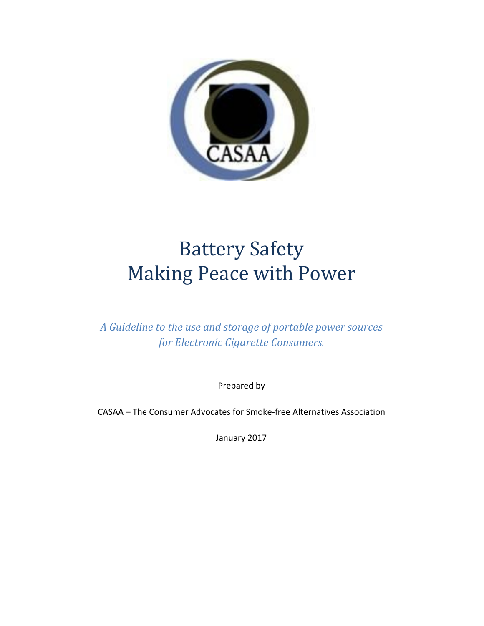

# Battery Safety Making Peace with Power

*A Guideline to the use and storage of portable power sources for Electronic Cigarette Consumers.*

Prepared by

CASAA – The Consumer Advocates for Smoke-free Alternatives Association

January 2017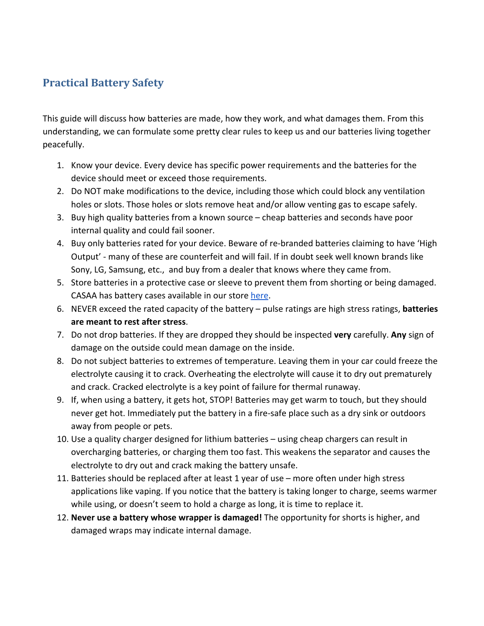## **Practical Battery Safety**

This guide will discuss how batteries are made, how they work, and what damages them. From this understanding, we can formulate some pretty clear rules to keep us and our batteries living together peacefully.

- 1. Know your device. Every device has specific power requirements and the batteries for the device should meet or exceed those requirements.
- 2. Do NOT make modifications to the device, including those which could block any ventilation holes or slots. Those holes or slots remove heat and/or allow venting gas to escape safely.
- 3. Buy high quality batteries from a known source cheap batteries and seconds have poor internal quality and could fail sooner.
- 4. Buy only batteries rated for your device. Beware of re-branded batteries claiming to have 'High Output' - many of these are counterfeit and will fail. If in doubt seek well known brands like Sony, LG, Samsung, etc., and buy from a dealer that knows where they came from.
- 5. Store batteries in a protective case or sleeve to prevent them from shorting or being damaged. CASAA has battery cases available in our store [here.](http://casaa.org/?post_type=product&p=16156)
- 6. NEVER exceed the rated capacity of the battery pulse ratings are high stress ratings, **batteries are meant to rest after stress**.
- 7. Do not drop batteries. If they are dropped they should be inspected **very** carefully. **Any** sign of damage on the outside could mean damage on the inside.
- 8. Do not subject batteries to extremes of temperature. Leaving them in your car could freeze the electrolyte causing it to crack. Overheating the electrolyte will cause it to dry out prematurely and crack. Cracked electrolyte is a key point of failure for thermal runaway.
- 9. If, when using a battery, it gets hot, STOP! Batteries may get warm to touch, but they should never get hot. Immediately put the battery in a fire-safe place such as a dry sink or outdoors away from people or pets.
- 10. Use a quality charger designed for lithium batteries using cheap chargers can result in overcharging batteries, or charging them too fast. This weakens the separator and causes the electrolyte to dry out and crack making the battery unsafe.
- 11. Batteries should be replaced after at least 1 year of use more often under high stress applications like vaping. If you notice that the battery is taking longer to charge, seems warmer while using, or doesn't seem to hold a charge as long, it is time to replace it.
- 12. **Never use a battery whose wrapper is damaged!** The opportunity for shorts is higher, and damaged wraps may indicate internal damage.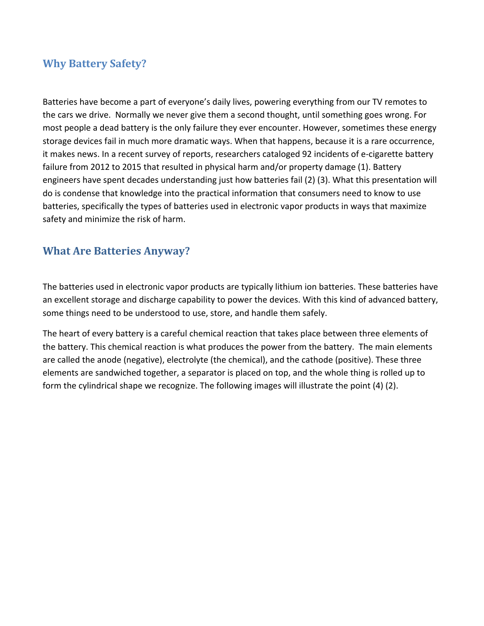#### **Why Battery Safety?**

Batteries have become a part of everyone's daily lives, powering everything from our TV remotes to the cars we drive. Normally we never give them a second thought, until something goes wrong. For most people a dead battery is the only failure they ever encounter. However, sometimes these energy storage devices fail in much more dramatic ways. When that happens, because it is a rare occurrence, it makes news. In a recent survey of reports, researchers cataloged 92 incidents of e-cigarette battery failure from 2012 to 2015 that resulted in physical harm and/or property damage (1). Battery engineers have spent decades understanding just how batteries fail (2) (3). What this presentation will do is condense that knowledge into the practical information that consumers need to know to use batteries, specifically the types of batteries used in electronic vapor products in ways that maximize safety and minimize the risk of harm.

## **What Are Batteries Anyway?**

The batteries used in electronic vapor products are typically lithium ion batteries. These batteries have an excellent storage and discharge capability to power the devices. With this kind of advanced battery, some things need to be understood to use, store, and handle them safely.

The heart of every battery is a careful chemical reaction that takes place between three elements of the battery. This chemical reaction is what produces the power from the battery. The main elements are called the anode (negative), electrolyte (the chemical), and the cathode (positive). These three elements are sandwiched together, a separator is placed on top, and the whole thing is rolled up to form the cylindrical shape we recognize. The following images will illustrate the point (4) (2).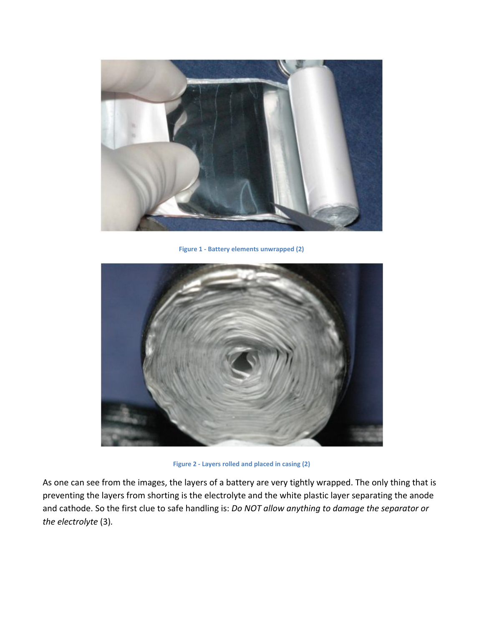

**Figure 1 - Battery elements unwrapped (2)**



**Figure 2 - Layers rolled and placed in casing (2)**

As one can see from the images, the layers of a battery are very tightly wrapped. The only thing that is preventing the layers from shorting is the electrolyte and the white plastic layer separating the anode and cathode. So the first clue to safe handling is: *Do NOT allow anything to damage the separator or the electrolyte* (3)*.*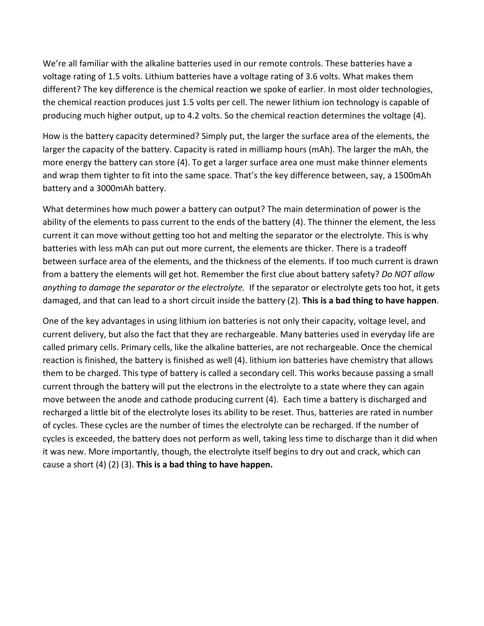We're all familiar with the alkaline batteries used in our remote controls. These batteries have a voltage rating of 1.5 volts. Lithium batteries have a voltage rating of 3.6 volts. What makes them different? The key difference is the chemical reaction we spoke of earlier. In most older technologies, the chemical reaction produces just 1.5 volts per cell. The newer lithium ion technology is capable of producing much higher output, up to 4.2 volts. So the chemical reaction determines the voltage (4).

How is the battery capacity determined? Simply put, the larger the surface area of the elements, the larger the capacity of the battery. Capacity is rated in milliamp hours (mAh). The larger the mAh, the more energy the battery can store (4). To get a larger surface area one must make thinner elements and wrap them tighter to fit into the same space. That's the key difference between, say, a 1500mAh battery and a 3000mAh battery.

What determines how much power a battery can output? The main determination of power is the ability of the elements to pass current to the ends of the battery (4). The thinner the element, the less current it can move without getting too hot and melting the separator or the electrolyte. This is why batteries with less mAh can put out more current, the elements are thicker. There is a tradeoff between surface area of the elements, and the thickness of the elements. If too much current is drawn from a battery the elements will get hot. Remember the first clue about battery safety? *Do NOT allow anything to damage the separator or the electrolyte.* If the separator or electrolyte gets too hot, it gets damaged, and that can lead to a short circuit inside the battery (2). **This is a bad thing to have happen**.

One of the key advantages in using lithium ion batteries is not only their capacity, voltage level, and current delivery, but also the fact that they are rechargeable. Many batteries used in everyday life are called primary cells. Primary cells, like the alkaline batteries, are not rechargeable. Once the chemical reaction is finished, the battery is finished as well (4). lithium ion batteries have chemistry that allows them to be charged. This type of battery is called a secondary cell. This works because passing a small current through the battery will put the electrons in the electrolyte to a state where they can again move between the anode and cathode producing current (4). Each time a battery is discharged and recharged a little bit of the electrolyte loses its ability to be reset. Thus, batteries are rated in number of cycles. These cycles are the number of times the electrolyte can be recharged. If the number of cycles is exceeded, the battery does not perform as well, taking less time to discharge than it did when it was new. More importantly, though, the electrolyte itself begins to dry out and crack, which can cause a short (4) (2) (3). **This is a bad thing to have happen.**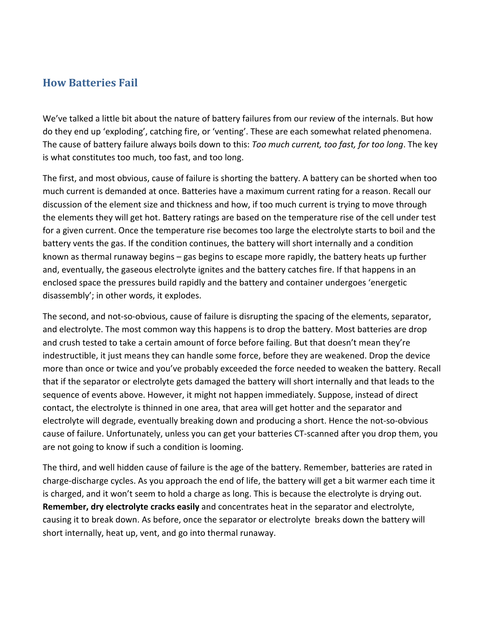#### **How Batteries Fail**

We've talked a little bit about the nature of battery failures from our review of the internals. But how do they end up 'exploding', catching fire, or 'venting'. These are each somewhat related phenomena. The cause of battery failure always boils down to this: *Too much current, too fast, for too long*. The key is what constitutes too much, too fast, and too long.

The first, and most obvious, cause of failure is shorting the battery. A battery can be shorted when too much current is demanded at once. Batteries have a maximum current rating for a reason. Recall our discussion of the element size and thickness and how, if too much current is trying to move through the elements they will get hot. Battery ratings are based on the temperature rise of the cell under test for a given current. Once the temperature rise becomes too large the electrolyte starts to boil and the battery vents the gas. If the condition continues, the battery will short internally and a condition known as thermal runaway begins – gas begins to escape more rapidly, the battery heats up further and, eventually, the gaseous electrolyte ignites and the battery catches fire. If that happens in an enclosed space the pressures build rapidly and the battery and container undergoes 'energetic disassembly'; in other words, it explodes.

The second, and not-so-obvious, cause of failure is disrupting the spacing of the elements, separator, and electrolyte. The most common way this happens is to drop the battery. Most batteries are drop and crush tested to take a certain amount of force before failing. But that doesn't mean they're indestructible, it just means they can handle some force, before they are weakened. Drop the device more than once or twice and you've probably exceeded the force needed to weaken the battery. Recall that if the separator or electrolyte gets damaged the battery will short internally and that leads to the sequence of events above. However, it might not happen immediately. Suppose, instead of direct contact, the electrolyte is thinned in one area, that area will get hotter and the separator and electrolyte will degrade, eventually breaking down and producing a short. Hence the not-so-obvious cause of failure. Unfortunately, unless you can get your batteries CT-scanned after you drop them, you are not going to know if such a condition is looming.

The third, and well hidden cause of failure is the age of the battery. Remember, batteries are rated in charge-discharge cycles. As you approach the end of life, the battery will get a bit warmer each time it is charged, and it won't seem to hold a charge as long. This is because the electrolyte is drying out. **Remember, dry electrolyte cracks easily** and concentrates heat in the separator and electrolyte, causing it to break down. As before, once the separator or electrolyte breaks down the battery will short internally, heat up, vent, and go into thermal runaway.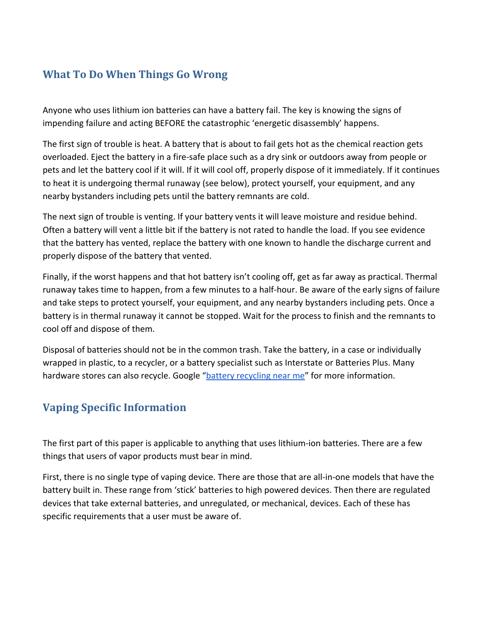# **What To Do When Things Go Wrong**

Anyone who uses lithium ion batteries can have a battery fail. The key is knowing the signs of impending failure and acting BEFORE the catastrophic 'energetic disassembly' happens.

The first sign of trouble is heat. A battery that is about to fail gets hot as the chemical reaction gets overloaded. Eject the battery in a fire-safe place such as a dry sink or outdoors away from people or pets and let the battery cool if it will. If it will cool off, properly dispose of it immediately. If it continues to heat it is undergoing thermal runaway (see below), protect yourself, your equipment, and any nearby bystanders including pets until the battery remnants are cold.

The next sign of trouble is venting. If your battery vents it will leave moisture and residue behind. Often a battery will vent a little bit if the battery is not rated to handle the load. If you see evidence that the battery has vented, replace the battery with one known to handle the discharge current and properly dispose of the battery that vented.

Finally, if the worst happens and that hot battery isn't cooling off, get as far away as practical. Thermal runaway takes time to happen, from a few minutes to a half-hour. Be aware of the early signs of failure and take steps to protect yourself, your equipment, and any nearby bystanders including pets. Once a battery is in thermal runaway it cannot be stopped. Wait for the process to finish and the remnants to cool off and dispose of them.

Disposal of batteries should not be in the common trash. Take the battery, in a case or individually wrapped in plastic, to a recycler, or a battery specialist such as Interstate or Batteries Plus. Many hardware stores can also recycle. Google ["battery recycling near me"](https://www.google.com/webhp?sourceid=chrome-instant&ion=1&espv=2&ie=UTF-8#q=battery%20recycling%20near%20me) for more information.

# **Vaping Specific Information**

The first part of this paper is applicable to anything that uses lithium-ion batteries. There are a few things that users of vapor products must bear in mind.

First, there is no single type of vaping device. There are those that are all-in-one models that have the battery built in. These range from 'stick' batteries to high powered devices. Then there are regulated devices that take external batteries, and unregulated, or mechanical, devices. Each of these has specific requirements that a user must be aware of.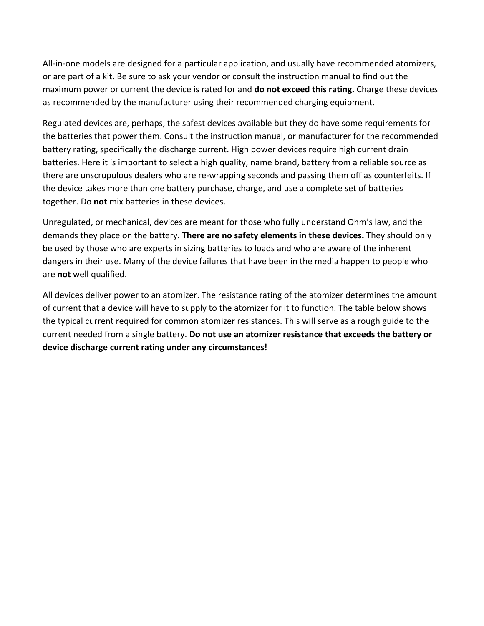All-in-one models are designed for a particular application, and usually have recommended atomizers, or are part of a kit. Be sure to ask your vendor or consult the instruction manual to find out the maximum power or current the device is rated for and **do not exceed this rating.** Charge these devices as recommended by the manufacturer using their recommended charging equipment.

Regulated devices are, perhaps, the safest devices available but they do have some requirements for the batteries that power them. Consult the instruction manual, or manufacturer for the recommended battery rating, specifically the discharge current. High power devices require high current drain batteries. Here it is important to select a high quality, name brand, battery from a reliable source as there are unscrupulous dealers who are re-wrapping seconds and passing them off as counterfeits. If the device takes more than one battery purchase, charge, and use a complete set of batteries together. Do **not** mix batteries in these devices.

Unregulated, or mechanical, devices are meant for those who fully understand Ohm's law, and the demands they place on the battery. **There are no safety elements in these devices.** They should only be used by those who are experts in sizing batteries to loads and who are aware of the inherent dangers in their use. Many of the device failures that have been in the media happen to people who are **not** well qualified.

All devices deliver power to an atomizer. The resistance rating of the atomizer determines the amount of current that a device will have to supply to the atomizer for it to function. The table below shows the typical current required for common atomizer resistances. This will serve as a rough guide to the current needed from a single battery. **Do not use an atomizer resistance that exceeds the battery or device discharge current rating under any circumstances!**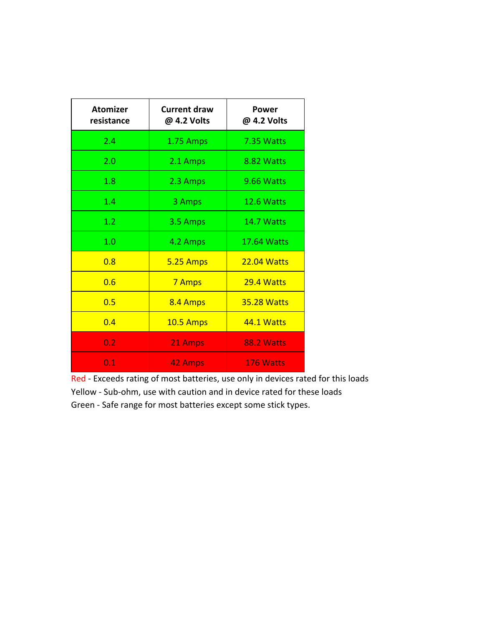| <b>Atomizer</b><br>resistance | <b>Current draw</b><br>@ 4.2 Volts | Power<br>@ 4.2 Volts |
|-------------------------------|------------------------------------|----------------------|
| 2.4                           | 1.75 Amps                          | 7.35 Watts           |
| 2.0                           | 2.1 Amps                           | 8.82 Watts           |
| 1.8                           | 2.3 Amps                           | 9.66 Watts           |
| 1.4                           | 3 Amps                             | 12.6 Watts           |
| 1.2                           | 3.5 Amps                           | 14.7 Watts           |
| 1.0                           | 4.2 Amps                           | <b>17.64 Watts</b>   |
| 0.8                           | <b>5.25 Amps</b>                   | <b>22.04 Watts</b>   |
| 0.6                           | 7 Amps                             | 29.4 Watts           |
| 0.5                           | 8.4 Amps                           | <b>35.28 Watts</b>   |
| 0.4                           | <b>10.5 Amps</b>                   | 44.1 Watts           |
| 0.2                           | 21 Amps                            | <b>88.2 Watts</b>    |
| 0.1                           | 42 Amps                            | 176 Watts            |

Red - Exceeds rating of most batteries, use only in devices rated for this loads Yellow - Sub-ohm, use with caution and in device rated for these loads Green - Safe range for most batteries except some stick types.